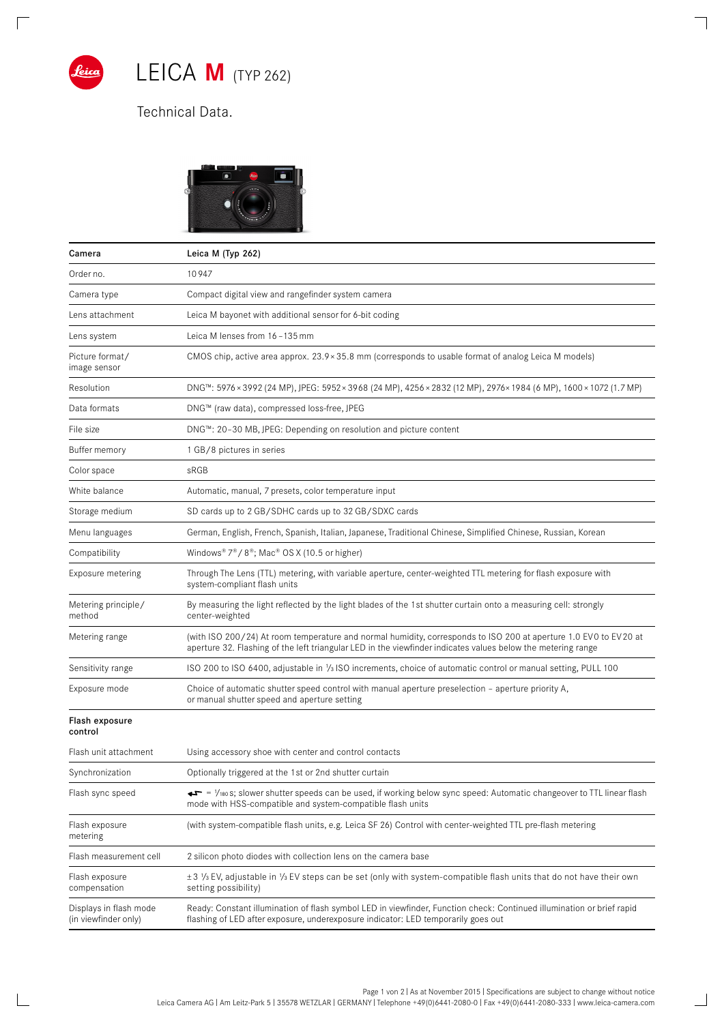

 $\sqrt{2}$ 

 $\mathbb{R}$ 

LEICA **M** (TYP 262)

## Technical Data.



| Camera                                         | Leica M (Typ 262)                                                                                                                                                                                                                |
|------------------------------------------------|----------------------------------------------------------------------------------------------------------------------------------------------------------------------------------------------------------------------------------|
| Order no.                                      | 10947                                                                                                                                                                                                                            |
| Camera type                                    | Compact digital view and rangefinder system camera                                                                                                                                                                               |
| Lens attachment                                | Leica M bayonet with additional sensor for 6-bit coding                                                                                                                                                                          |
| Lens system                                    | Leica M lenses from 16-135 mm                                                                                                                                                                                                    |
| Picture format/<br>image sensor                | CMOS chip, active area approx. 23.9 × 35.8 mm (corresponds to usable format of analog Leica M models)                                                                                                                            |
| Resolution                                     | DNG™: 5976 × 3992 (24 MP), JPEG: 5952 × 3968 (24 MP), 4256 × 2832 (12 MP), 2976 × 1984 (6 MP), 1600 × 1072 (1.7 MP)                                                                                                              |
| Data formats                                   | DNG™ (raw data), compressed loss-free, JPEG                                                                                                                                                                                      |
| File size                                      | DNG™: 20-30 MB, JPEG: Depending on resolution and picture content                                                                                                                                                                |
| Buffer memory                                  | 1 GB/8 pictures in series                                                                                                                                                                                                        |
| Color space                                    | sRGB                                                                                                                                                                                                                             |
| White balance                                  | Automatic, manual, 7 presets, color temperature input                                                                                                                                                                            |
| Storage medium                                 | SD cards up to 2 GB/SDHC cards up to 32 GB/SDXC cards                                                                                                                                                                            |
| Menu languages                                 | German, English, French, Spanish, Italian, Japanese, Traditional Chinese, Simplified Chinese, Russian, Korean                                                                                                                    |
| Compatibility                                  | Windows® $7^{\circledast}$ / $8^{\circledast}$ ; Mac® OS X (10.5 or higher)                                                                                                                                                      |
| Exposure metering                              | Through The Lens (TTL) metering, with variable aperture, center-weighted TTL metering for flash exposure with<br>system-compliant flash units                                                                                    |
| Metering principle/<br>method                  | By measuring the light reflected by the light blades of the 1st shutter curtain onto a measuring cell: strongly<br>center-weighted                                                                                               |
| Metering range                                 | (with ISO 200/24) At room temperature and normal humidity, corresponds to ISO 200 at aperture 1.0 EV0 to EV20 at<br>aperture 32. Flashing of the left triangular LED in the viewfinder indicates values below the metering range |
| Sensitivity range                              | ISO 200 to ISO 6400, adjustable in 1/3 ISO increments, choice of automatic control or manual setting, PULL 100                                                                                                                   |
| Exposure mode                                  | Choice of automatic shutter speed control with manual aperture preselection - aperture priority A,<br>or manual shutter speed and aperture setting                                                                               |
| Flash exposure<br>control                      |                                                                                                                                                                                                                                  |
| Flash unit attachment                          | Using accessory shoe with center and control contacts                                                                                                                                                                            |
| Synchronization                                | Optionally triggered at the 1st or 2nd shutter curtain                                                                                                                                                                           |
| Flash sync speed                               | ←► = 1/180 S; slower shutter speeds can be used, if working below sync speed: Automatic changeover to TTL linear flash<br>mode with HSS-compatible and system-compatible flash units                                             |
| Flash exposure<br>metering                     | (with system-compatible flash units, e.g. Leica SF 26) Control with center-weighted TTL pre-flash metering                                                                                                                       |
| Flash measurement cell                         | 2 silicon photo diodes with collection lens on the camera base                                                                                                                                                                   |
| Flash exposure<br>compensation                 | ±3 1/3 EV, adjustable in 1/3 EV steps can be set (only with system-compatible flash units that do not have their own<br>setting possibility)                                                                                     |
| Displays in flash mode<br>(in viewfinder only) | Ready: Constant illumination of flash symbol LED in viewfinder, Function check: Continued illumination or brief rapid<br>flashing of LED after exposure, underexposure indicator: LED temporarily goes out                       |

 $\overline{\phantom{a}}$ 

 $\overline{\phantom{0}}$ 

Page 1 von 2 | As at November 2015 | Specifications are subject to change without notice Leica Camera AG I Am Leitz-Park 5 I 35578 WETZLAR I GERMANY I Telephone +49(0)6441-2080-0 I Fax +49(0)6441-2080-333 I www.leica-camera.com